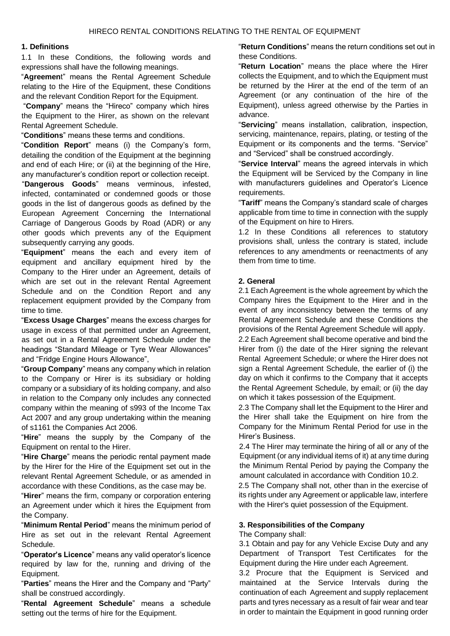#### **1. Definitions**

1.1 In these Conditions, the following words and expressions shall have the following meanings.

"**Agreemen**t" means the Rental Agreement Schedule relating to the Hire of the Equipment, these Conditions and the relevant Condition Report for the Equipment.

"**Company**" means the "Hireco" company which hires the Equipment to the Hirer, as shown on the relevant Rental Agreement Schedule.

"**Conditions**" means these terms and conditions.

"**Condition Report**" means (i) the Company's form, detailing the condition of the Equipment at the beginning and end of each Hire; or (ii) at the beginning of the Hire, any manufacturer's condition report or collection receipt.

"**Dangerous Goods**" means verminous, infested, infected, contaminated or condemned goods or those goods in the list of dangerous goods as defined by the European Agreement Concerning the International Carriage of Dangerous Goods by Road (ADR) or any other goods which prevents any of the Equipment subsequently carrying any goods.

"**Equipment**" means the each and every item of equipment and ancillary equipment hired by the Company to the Hirer under an Agreement, details of which are set out in the relevant Rental Agreement Schedule and on the Condition Report and any replacement equipment provided by the Company from time to time.

"**Excess Usage Charges**" means the excess charges for usage in excess of that permitted under an Agreement, as set out in a Rental Agreement Schedule under the headings "Standard Mileage or Tyre Wear Allowances" and "Fridge Engine Hours Allowance",

"**Group Company**" means any company which in relation to the Company or Hirer is its subsidiary or holding company or a subsidiary of its holding company, and also in relation to the Company only includes any connected company within the meaning of s993 of the Income Tax Act 2007 and any group undertaking within the meaning of s1161 the Companies Act 2006.

"**Hire**" means the supply by the Company of the Equipment on rental to the Hirer.

"**Hire Charge**" means the periodic rental payment made by the Hirer for the Hire of the Equipment set out in the relevant Rental Agreement Schedule, or as amended in accordance with these Conditions, as the case may be.

"**Hirer**" means the firm, company or corporation entering an Agreement under which it hires the Equipment from the Company.

"**Minimum Rental Period**" means the minimum period of Hire as set out in the relevant Rental Agreement Schedule.

"**Operator's Licence**" means any valid operator's licence required by law for the, running and driving of the Equipment.

"**Parties**" means the Hirer and the Company and "Party" shall be construed accordingly.

"**Rental Agreement Schedule**" means a schedule setting out the terms of hire for the Equipment.

"**Return Conditions**" means the return conditions set out in these Conditions.

"**Return Location**" means the place where the Hirer collects the Equipment, and to which the Equipment must be returned by the Hirer at the end of the term of an Agreement (or any continuation of the hire of the Equipment), unless agreed otherwise by the Parties in advance.

"**Servicing**" means installation, calibration, inspection, servicing, maintenance, repairs, plating, or testing of the Equipment or its components and the terms. "Service" and "Serviced" shall be construed accordingly.

"**Service Interval**" means the agreed intervals in which the Equipment will be Serviced by the Company in line with manufacturers guidelines and Operator's Licence requirements.

"**Tariff**" means the Company's standard scale of charges applicable from time to time in connection with the supply of the Equipment on hire to Hirers.

1.2 In these Conditions all references to statutory provisions shall, unless the contrary is stated, include references to any amendments or reenactments of any them from time to time.

#### **2. General**

2.1 Each Agreement is the whole agreement by which the Company hires the Equipment to the Hirer and in the event of any inconsistency between the terms of any Rental Agreement Schedule and these Conditions the provisions of the Rental Agreement Schedule will apply. 2.2 Each Agreement shall become operative and bind the Hirer from (i) the date of the Hirer signing the relevant Rental Agreement Schedule; or where the Hirer does not sign a Rental Agreement Schedule, the earlier of (i) the day on which it confirms to the Company that it accepts the Rental Agreement Schedule, by email; or (ii) the day on which it takes possession of the Equipment.

2.3 The Company shall let the Equipment to the Hirer and the Hirer shall take the Equipment on hire from the Company for the Minimum Rental Period for use in the Hirer's Business.

2.4 The Hirer may terminate the hiring of all or any of the Equipment (or any individual items of it) at any time during the Minimum Rental Period by paying the Company the amount calculated in accordance with Condition 10.2.

2.5 The Company shall not, other than in the exercise of its rights under any Agreement or applicable law, interfere with the Hirer's quiet possession of the Equipment.

#### **3. Responsibilities of the Company**

The Company shall:

3.1 Obtain and pay for any Vehicle Excise Duty and any Department of Transport Test Certificates for the Equipment during the Hire under each Agreement.

3.2 Procure that the Equipment is Serviced and maintained at the Service Intervals during the continuation of each Agreement and supply replacement parts and tyres necessary as a result of fair wear and tear in order to maintain the Equipment in good running order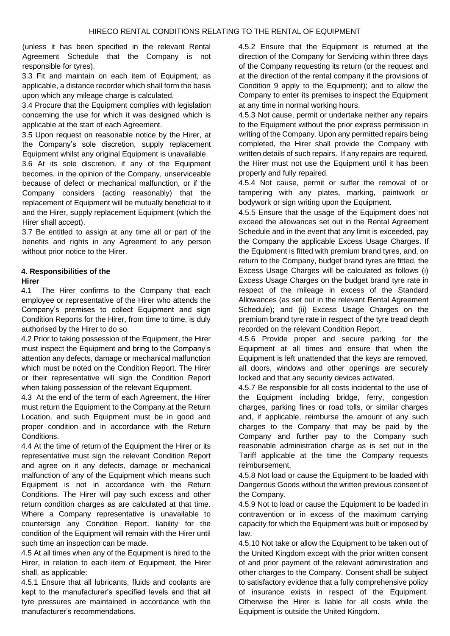(unless it has been specified in the relevant Rental Agreement Schedule that the Company is not responsible for tyres).

3.3 Fit and maintain on each item of Equipment, as applicable, a distance recorder which shall form the basis upon which any mileage charge is calculated.

3.4 Procure that the Equipment complies with legislation concerning the use for which it was designed which is applicable at the start of each Agreement.

3.5 Upon request on reasonable notice by the Hirer, at the Company's sole discretion, supply replacement Equipment whilst any original Equipment is unavailable.

3.6 At its sole discretion, if any of the Equipment becomes, in the opinion of the Company, unserviceable because of defect or mechanical malfunction, or if the Company considers (acting reasonably) that the replacement of Equipment will be mutually beneficial to it and the Hirer, supply replacement Equipment (which the Hirer shall accept).

3.7 Be entitled to assign at any time all or part of the benefits and rights in any Agreement to any person without prior notice to the Hirer.

## **4. Responsibilities of the**

#### **Hirer**

4.1 The Hirer confirms to the Company that each employee or representative of the Hirer who attends the Company's premises to collect Equipment and sign Condition Reports for the Hirer, from time to time, is duly authorised by the Hirer to do so.

4.2 Prior to taking possession of the Equipment, the Hirer must inspect the Equipment and bring to the Company's attention any defects, damage or mechanical malfunction which must be noted on the Condition Report. The Hirer or their representative will sign the Condition Report when taking possession of the relevant Equipment.

4.3 At the end of the term of each Agreement, the Hirer must return the Equipment to the Company at the Return Location, and such Equipment must be in good and proper condition and in accordance with the Return Conditions.

4.4 At the time of return of the Equipment the Hirer or its representative must sign the relevant Condition Report and agree on it any defects, damage or mechanical malfunction of any of the Equipment which means such Equipment is not in accordance with the Return Conditions. The Hirer will pay such excess and other return condition charges as are calculated at that time. Where a Company representative is unavailable to countersign any Condition Report, liability for the condition of the Equipment will remain with the Hirer until such time an inspection can be made.

4.5 At all times when any of the Equipment is hired to the Hirer, in relation to each item of Equipment, the Hirer shall, as applicable:

4.5.1 Ensure that all lubricants, fluids and coolants are kept to the manufacturer's specified levels and that all tyre pressures are maintained in accordance with the manufacturer's recommendations.

4.5.2 Ensure that the Equipment is returned at the direction of the Company for Servicing within three days of the Company requesting its return (or the request and at the direction of the rental company if the provisions of Condition 9 apply to the Equipment); and to allow the Company to enter its premises to inspect the Equipment at any time in normal working hours.

4.5.3 Not cause, permit or undertake neither any repairs to the Equipment without the prior express permission in writing of the Company. Upon any permitted repairs being completed, the Hirer shall provide the Company with written details of such repairs. If any repairs are required, the Hirer must not use the Equipment until it has been properly and fully repaired.

4.5.4 Not cause, permit or suffer the removal of or tampering with any plates, marking, paintwork or bodywork or sign writing upon the Equipment.

4.5.5 Ensure that the usage of the Equipment does not exceed the allowances set out in the Rental Agreement Schedule and in the event that any limit is exceeded, pay the Company the applicable Excess Usage Charges. If the Equipment is fitted with premium brand tyres, and, on return to the Company, budget brand tyres are fitted, the Excess Usage Charges will be calculated as follows (i) Excess Usage Charges on the budget brand tyre rate in respect of the mileage in excess of the Standard Allowances (as set out in the relevant Rental Agreement Schedule); and (ii) Excess Usage Charges on the premium brand tyre rate in respect of the tyre tread depth recorded on the relevant Condition Report.

4.5.6 Provide proper and secure parking for the Equipment at all times and ensure that when the Equipment is left unattended that the keys are removed, all doors, windows and other openings are securely locked and that any security devices activated.

4.5.7 Be responsible for all costs incidental to the use of the Equipment including bridge, ferry, congestion charges, parking fines or road tolls, or similar charges and, if applicable, reimburse the amount of any such charges to the Company that may be paid by the Company and further pay to the Company such reasonable administration charge as is set out in the Tariff applicable at the time the Company requests reimbursement.

4.5.8 Not load or cause the Equipment to be loaded with Dangerous Goods without the written previous consent of the Company.

4.5.9 Not to load or cause the Equipment to be loaded in contravention or in excess of the maximum carrying capacity for which the Equipment was built or imposed by law.

4.5.10 Not take or allow the Equipment to be taken out of the United Kingdom except with the prior written consent of and prior payment of the relevant administration and other charges to the Company. Consent shall be subject to satisfactory evidence that a fully comprehensive policy of insurance exists in respect of the Equipment. Otherwise the Hirer is liable for all costs while the Equipment is outside the United Kingdom.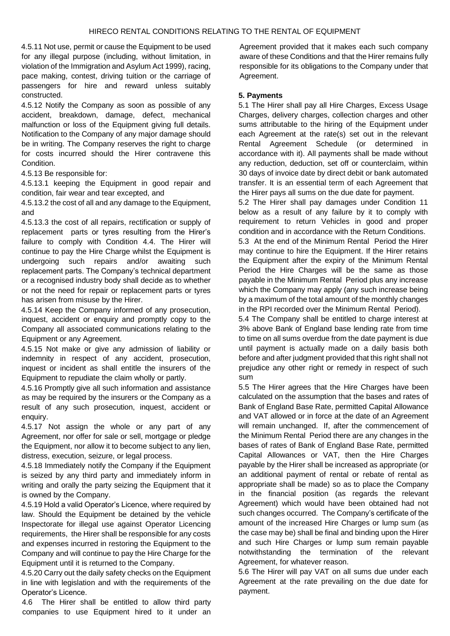4.5.11 Not use, permit or cause the Equipment to be used for any illegal purpose (including, without limitation, in violation of the Immigration and Asylum Act 1999), racing, pace making, contest, driving tuition or the carriage of passengers for hire and reward unless suitably constructed.

4.5.12 Notify the Company as soon as possible of any accident, breakdown, damage, defect, mechanical malfunction or loss of the Equipment giving full details. Notification to the Company of any major damage should be in writing. The Company reserves the right to charge for costs incurred should the Hirer contravene this Condition.

4.5.13 Be responsible for:

4.5.13.1 keeping the Equipment in good repair and condition, fair wear and tear excepted, and

4.5.13.2 the cost of all and any damage to the Equipment, and

4.5.13.3 the cost of all repairs, rectification or supply of replacement parts or tyres resulting from the Hirer's failure to comply with Condition 4.4. The Hirer will continue to pay the Hire Charge whilst the Equipment is undergoing such repairs and/or awaiting such replacement parts. The Company's technical department or a recognised industry body shall decide as to whether or not the need for repair or replacement parts or tyres has arisen from misuse by the Hirer.

4.5.14 Keep the Company informed of any prosecution, inquest, accident or enquiry and promptly copy to the Company all associated communications relating to the Equipment or any Agreement.

4.5.15 Not make or give any admission of liability or indemnity in respect of any accident, prosecution, inquest or incident as shall entitle the insurers of the Equipment to repudiate the claim wholly or partly.

4.5.16 Promptly give all such information and assistance as may be required by the insurers or the Company as a result of any such prosecution, inquest, accident or enquiry.

4.5.17 Not assign the whole or any part of any Agreement, nor offer for sale or sell, mortgage or pledge the Equipment, nor allow it to become subject to any lien, distress, execution, seizure, or legal process.

4.5.18 Immediately notify the Company if the Equipment is seized by any third party and immediately inform in writing and orally the party seizing the Equipment that it is owned by the Company.

4.5.19 Hold a valid Operator's Licence, where required by law. Should the Equipment be detained by the vehicle Inspectorate for illegal use against Operator Licencing requirements, the Hirer shall be responsible for any costs and expenses incurred in restoring the Equipment to the Company and will continue to pay the Hire Charge for the Equipment until it is returned to the Company.

4.5.20 Carry out the daily safety checks on the Equipment in line with legislation and with the requirements of the Operator's Licence.

4.6 The Hirer shall be entitled to allow third party companies to use Equipment hired to it under an Agreement provided that it makes each such company aware of these Conditions and that the Hirer remains fully responsible for its obligations to the Company under that Agreement.

### **5. Payments**

5.1 The Hirer shall pay all Hire Charges, Excess Usage Charges, delivery charges, collection charges and other sums attributable to the hiring of the Equipment under each Agreement at the rate(s) set out in the relevant Rental Agreement Schedule (or determined in accordance with it). All payments shall be made without any reduction, deduction, set off or counterclaim, within 30 days of invoice date by direct debit or bank automated transfer. It is an essential term of each Agreement that the Hirer pays all sums on the due date for payment.

5.2 The Hirer shall pay damages under Condition 11 below as a result of any failure by it to comply with requirement to return Vehicles in good and proper condition and in accordance with the Return Conditions.

5.3 At the end of the Minimum Rental Period the Hirer may continue to hire the Equipment. If the Hirer retains the Equipment after the expiry of the Minimum Rental Period the Hire Charges will be the same as those payable in the Minimum Rental Period plus any increase which the Company may apply (any such increase being by a maximum of the total amount of the monthly changes in the RPI recorded over the Minimum Rental Period).

5.4 The Company shall be entitled to charge interest at 3% above Bank of England base lending rate from time to time on all sums overdue from the date payment is due until payment is actually made on a daily basis both before and after judgment provided that this right shall not prejudice any other right or remedy in respect of such sum

5.5 The Hirer agrees that the Hire Charges have been calculated on the assumption that the bases and rates of Bank of England Base Rate, permitted Capital Allowance and VAT allowed or in force at the date of an Agreement will remain unchanged. If, after the commencement of the Minimum Rental Period there are any changes in the bases of rates of Bank of England Base Rate, permitted Capital Allowances or VAT, then the Hire Charges payable by the Hirer shall be increased as appropriate (or an additional payment of rental or rebate of rental as appropriate shall be made) so as to place the Company in the financial position (as regards the relevant Agreement) which would have been obtained had not such changes occurred. The Company's certificate of the amount of the increased Hire Charges or lump sum (as the case may be) shall be final and binding upon the Hirer and such Hire Charges or lump sum remain payable notwithstanding the termination of the relevant Agreement, for whatever reason.

5.6 The Hirer will pay VAT on all sums due under each Agreement at the rate prevailing on the due date for payment.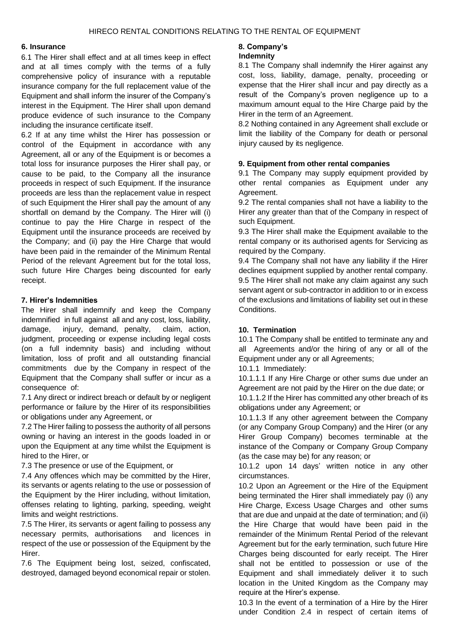#### **6. Insurance**

6.1 The Hirer shall effect and at all times keep in effect and at all times comply with the terms of a fully comprehensive policy of insurance with a reputable insurance company for the full replacement value of the Equipment and shall inform the insurer of the Company's interest in the Equipment. The Hirer shall upon demand produce evidence of such insurance to the Company including the insurance certificate itself.

6.2 If at any time whilst the Hirer has possession or control of the Equipment in accordance with any Agreement, all or any of the Equipment is or becomes a total loss for insurance purposes the Hirer shall pay, or cause to be paid, to the Company all the insurance proceeds in respect of such Equipment. If the insurance proceeds are less than the replacement value in respect of such Equipment the Hirer shall pay the amount of any shortfall on demand by the Company. The Hirer will (i) continue to pay the Hire Charge in respect of the Equipment until the insurance proceeds are received by the Company; and (ii) pay the Hire Charge that would have been paid in the remainder of the Minimum Rental Period of the relevant Agreement but for the total loss, such future Hire Charges being discounted for early receipt.

## **7. Hirer's Indemnities**

The Hirer shall indemnify and keep the Company indemnified in full against all and any cost, loss, liability, damage, injury, demand, penalty, claim, action, judgment, proceeding or expense including legal costs (on a full indemnity basis) and including without limitation, loss of profit and all outstanding financial commitments due by the Company in respect of the Equipment that the Company shall suffer or incur as a consequence of:

7.1 Any direct or indirect breach or default by or negligent performance or failure by the Hirer of its responsibilities or obligations under any Agreement, or

7.2 The Hirer failing to possess the authority of all persons owning or having an interest in the goods loaded in or upon the Equipment at any time whilst the Equipment is hired to the Hirer, or

7.3 The presence or use of the Equipment, or

7.4 Any offences which may be committed by the Hirer, its servants or agents relating to the use or possession of the Equipment by the Hirer including, without limitation, offenses relating to lighting, parking, speeding, weight limits and weight restrictions.

7.5 The Hirer, its servants or agent failing to possess any necessary permits, authorisations and licences in respect of the use or possession of the Equipment by the Hirer.

7.6 The Equipment being lost, seized, confiscated, destroyed, damaged beyond economical repair or stolen.

## **8. Company's**

### **Indemnity**

8.1 The Company shall indemnify the Hirer against any cost, loss, liability, damage, penalty, proceeding or expense that the Hirer shall incur and pay directly as a result of the Company's proven negligence up to a maximum amount equal to the Hire Charge paid by the Hirer in the term of an Agreement.

8.2 Nothing contained in any Agreement shall exclude or limit the liability of the Company for death or personal injury caused by its negligence.

## **9. Equipment from other rental companies**

9.1 The Company may supply equipment provided by other rental companies as Equipment under any Agreement.

9.2 The rental companies shall not have a liability to the Hirer any greater than that of the Company in respect of such Equipment.

9.3 The Hirer shall make the Equipment available to the rental company or its authorised agents for Servicing as required by the Company.

9.4 The Company shall not have any liability if the Hirer declines equipment supplied by another rental company. 9.5 The Hirer shall not make any claim against any such servant agent or sub-contractor in addition to or in excess of the exclusions and limitations of liability set out in these Conditions.

## **10. Termination**

10.1 The Company shall be entitled to terminate any and all Agreements and/or the hiring of any or all of the Equipment under any or all Agreements;

10.1.1 Immediately:

10.1.1.1 If any Hire Charge or other sums due under an Agreement are not paid by the Hirer on the due date; or 10.1.1.2 If the Hirer has committed any other breach of its obligations under any Agreement; or

10.1.1.3 If any other agreement between the Company (or any Company Group Company) and the Hirer (or any Hirer Group Company) becomes terminable at the instance of the Company or Company Group Company (as the case may be) for any reason; or

10.1.2 upon 14 days' written notice in any other circumstances.

10.2 Upon an Agreement or the Hire of the Equipment being terminated the Hirer shall immediately pay (i) any Hire Charge, Excess Usage Charges and other sums that are due and unpaid at the date of termination; and (ii) the Hire Charge that would have been paid in the remainder of the Minimum Rental Period of the relevant Agreement but for the early termination, such future Hire Charges being discounted for early receipt. The Hirer shall not be entitled to possession or use of the Equipment and shall immediately deliver it to such location in the United Kingdom as the Company may require at the Hirer's expense.

10.3 In the event of a termination of a Hire by the Hirer under Condition 2.4 in respect of certain items of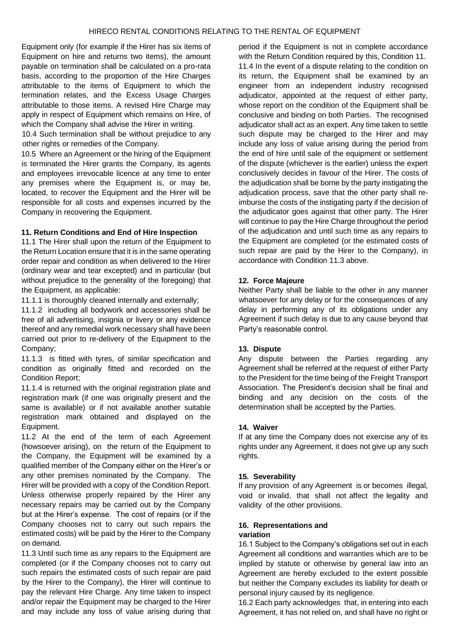Equipment only (for example if the Hirer has six items of Equipment on hire and returns two items), the amount payable on termination shall be calculated on a pro-rata basis, according to the proportion of the Hire Charges attributable to the items of Equipment to which the termination relates, and the Excess Usage Charges attributable to those items. A revised Hire Charge may apply in respect of Equipment which remains on Hire, of which the Company shall advise the Hirer in writing.

10.4 Such termination shall be without prejudice to any other rights or remedies of the Company.

10.5 Where an Agreement or the hiring of the Equipment is terminated the Hirer grants the Company, its agents and employees irrevocable licence at any time to enter any premises where the Equipment is, or may be, located, to recover the Equipment and the Hirer will be responsible for all costs and expenses incurred by the Company in recovering the Equipment.

#### **11. Return Conditions and End of Hire Inspection**

11.1 The Hirer shall upon the return of the Equipment to the Return Location ensure that it is in the same operating order repair and condition as when delivered to the Hirer (ordinary wear and tear excepted) and in particular (but without prejudice to the generality of the foregoing) that the Equipment, as applicable:

11.1.1 is thoroughly cleaned internally and externally;

11.1.2 including all bodywork and accessories shall be free of all advertising, insignia or livery or any evidence thereof and any remedial work necessary shall have been carried out prior to re-delivery of the Equipment to the Company;

11.1.3 is fitted with tyres, of similar specification and condition as originally fitted and recorded on the Condition Report;

11.1.4 is returned with the original registration plate and registration mark (if one was originally present and the same is available) or if not available another suitable registration mark obtained and displayed on the Equipment.

11.2 At the end of the term of each Agreement (howsoever arising), on the return of the Equipment to the Company, the Equipment will be examined by a qualified member of the Company either on the Hirer's or any other premises nominated by the Company. The Hirer will be provided with a copy of the Condition Report. Unless otherwise properly repaired by the Hirer any necessary repairs may be carried out by the Company but at the Hirer's expense. The cost of repairs (or if the Company chooses not to carry out such repairs the estimated costs) will be paid by the Hirer to the Company on demand.

11.3 Until such time as any repairs to the Equipment are completed (or if the Company chooses not to carry out such repairs the estimated costs of such repair are paid by the Hirer to the Company), the Hirer will continue to pay the relevant Hire Charge. Any time taken to inspect and/or repair the Equipment may be charged to the Hirer and may include any loss of value arising during that

period if the Equipment is not in complete accordance with the Return Condition required by this, Condition 11. 11.4 In the event of a dispute relating to the condition on its return, the Equipment shall be examined by an engineer from an independent industry recognised adjudicator, appointed at the request of either party, whose report on the condition of the Equipment shall be conclusive and binding on both Parties. The recognised adjudicator shall act as an expert. Any time taken to settle such dispute may be charged to the Hirer and may include any loss of value arising during the period from the end of hire until sale of the equipment or settlement of the dispute (whichever is the earlier) unless the expert conclusively decides in favour of the Hirer. The costs of the adjudication shall be borne by the party instigating the adjudication process, save that the other party shall reimburse the costs of the instigating party if the decision of the adjudicator goes against that other party. The Hirer will continue to pay the Hire Charge throughout the period of the adjudication and until such time as any repairs to the Equipment are completed (or the estimated costs of such repair are paid by the Hirer to the Company), in accordance with Condition 11.3 above.

#### **12. Force Majeure**

Neither Party shall be liable to the other in any manner whatsoever for any delay or for the consequences of any delay in performing any of its obligations under any Agreement if such delay is due to any cause beyond that Party's reasonable control.

#### **13. Dispute**

Any dispute between the Parties regarding any Agreement shall be referred at the request of either Party to the President for the time being of the Freight Transport Association. The President's decision shall be final and binding and any decision on the costs of the determination shall be accepted by the Parties.

#### **14. Waiver**

If at any time the Company does not exercise any of its rights under any Agreement, it does not give up any such rights.

#### **15. Severability**

If any provision of any Agreement is or becomes illegal, void or invalid, that shall not affect the legality and validity of the other provisions.

#### **16. Representations and variation**

16.1 Subject to the Company's obligations set out in each Agreement all conditions and warranties which are to be implied by statute or otherwise by general law into an Agreement are hereby excluded to the extent possible but neither the Company excludes its liability for death or personal injury caused by its negligence.

16.2 Each party acknowledges that, in entering into each Agreement, it has not relied on, and shall have no right or